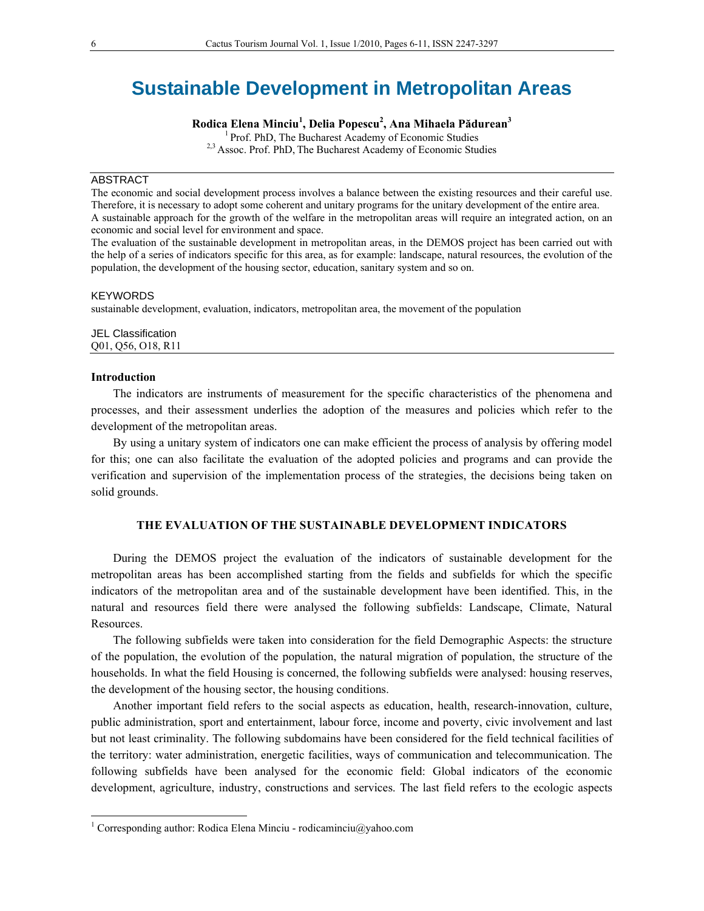# **Sustainable Development in Metropolitan Areas**

**Rodica Elena Minciu<sup>1</sup> , Delia Popescu<sup>2</sup> , Ana Mihaela Pădurean<sup>3</sup>**

1 Prof. PhD, The Bucharest Academy of Economic Studies <sup>2,3</sup> Assoc. Prof. PhD, The Bucharest Academy of Economic Studies

#### ABSTRACT

The economic and social development process involves a balance between the existing resources and their careful use. Therefore, it is necessary to adopt some coherent and unitary programs for the unitary development of the entire area. A sustainable approach for the growth of the welfare in the metropolitan areas will require an integrated action, on an economic and social level for environment and space.

The evaluation of the sustainable development in metropolitan areas, in the DEMOS project has been carried out with the help of a series of indicators specific for this area, as for example: landscape, natural resources, the evolution of the population, the development of the housing sector, education, sanitary system and so on.

#### KEYWORDS

sustainable development, evaluation, indicators, metropolitan area, the movement of the population

JEL Classification Q01, Q56, O18, R11

### **Introduction**

 $\overline{a}$ 

The indicators are instruments of measurement for the specific characteristics of the phenomena and processes, and their assessment underlies the adoption of the measures and policies which refer to the development of the metropolitan areas.

By using a unitary system of indicators one can make efficient the process of analysis by offering model for this; one can also facilitate the evaluation of the adopted policies and programs and can provide the verification and supervision of the implementation process of the strategies, the decisions being taken on solid grounds.

# **THE EVALUATION OF THE SUSTAINABLE DEVELOPMENT INDICATORS**

During the DEMOS project the evaluation of the indicators of sustainable development for the metropolitan areas has been accomplished starting from the fields and subfields for which the specific indicators of the metropolitan area and of the sustainable development have been identified. This, in the natural and resources field there were analysed the following subfields: Landscape, Climate, Natural Resources.

The following subfields were taken into consideration for the field Demographic Aspects: the structure of the population, the evolution of the population, the natural migration of population, the structure of the households. In what the field Housing is concerned, the following subfields were analysed: housing reserves, the development of the housing sector, the housing conditions.

Another important field refers to the social aspects as education, health, research-innovation, culture, public administration, sport and entertainment, labour force, income and poverty, civic involvement and last but not least criminality. The following subdomains have been considered for the field technical facilities of the territory: water administration, energetic facilities, ways of communication and telecommunication. The following subfields have been analysed for the economic field: Global indicators of the economic development, agriculture, industry, constructions and services. The last field refers to the ecologic aspects

<sup>&</sup>lt;sup>1</sup> Corresponding author: Rodica Elena Minciu - rodicaminciu@yahoo.com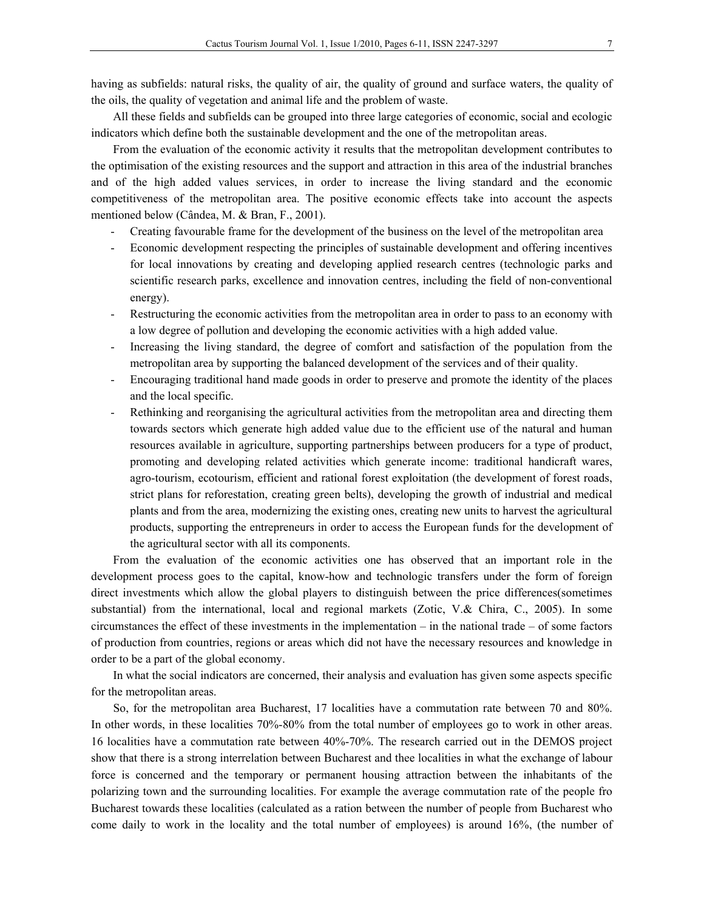having as subfields: natural risks, the quality of air, the quality of ground and surface waters, the quality of the oils, the quality of vegetation and animal life and the problem of waste.

All these fields and subfields can be grouped into three large categories of economic, social and ecologic indicators which define both the sustainable development and the one of the metropolitan areas.

From the evaluation of the economic activity it results that the metropolitan development contributes to the optimisation of the existing resources and the support and attraction in this area of the industrial branches and of the high added values services, in order to increase the living standard and the economic competitiveness of the metropolitan area. The positive economic effects take into account the aspects mentioned below (Cândea, M. & Bran, F., 2001).

- Creating favourable frame for the development of the business on the level of the metropolitan area
- Economic development respecting the principles of sustainable development and offering incentives for local innovations by creating and developing applied research centres (technologic parks and scientific research parks, excellence and innovation centres, including the field of non-conventional energy).
- Restructuring the economic activities from the metropolitan area in order to pass to an economy with a low degree of pollution and developing the economic activities with a high added value.
- Increasing the living standard, the degree of comfort and satisfaction of the population from the metropolitan area by supporting the balanced development of the services and of their quality.
- Encouraging traditional hand made goods in order to preserve and promote the identity of the places and the local specific.
- Rethinking and reorganising the agricultural activities from the metropolitan area and directing them towards sectors which generate high added value due to the efficient use of the natural and human resources available in agriculture, supporting partnerships between producers for a type of product, promoting and developing related activities which generate income: traditional handicraft wares, agro-tourism, ecotourism, efficient and rational forest exploitation (the development of forest roads, strict plans for reforestation, creating green belts), developing the growth of industrial and medical plants and from the area, modernizing the existing ones, creating new units to harvest the agricultural products, supporting the entrepreneurs in order to access the European funds for the development of the agricultural sector with all its components.

From the evaluation of the economic activities one has observed that an important role in the development process goes to the capital, know-how and technologic transfers under the form of foreign direct investments which allow the global players to distinguish between the price differences(sometimes substantial) from the international, local and regional markets (Zotic, V.& Chira, C., 2005). In some circumstances the effect of these investments in the implementation – in the national trade – of some factors of production from countries, regions or areas which did not have the necessary resources and knowledge in order to be a part of the global economy.

In what the social indicators are concerned, their analysis and evaluation has given some aspects specific for the metropolitan areas.

So, for the metropolitan area Bucharest, 17 localities have a commutation rate between 70 and 80%. In other words, in these localities 70%-80% from the total number of employees go to work in other areas. 16 localities have a commutation rate between 40%-70%. The research carried out in the DEMOS project show that there is a strong interrelation between Bucharest and thee localities in what the exchange of labour force is concerned and the temporary or permanent housing attraction between the inhabitants of the polarizing town and the surrounding localities. For example the average commutation rate of the people fro Bucharest towards these localities (calculated as a ration between the number of people from Bucharest who come daily to work in the locality and the total number of employees) is around 16%, (the number of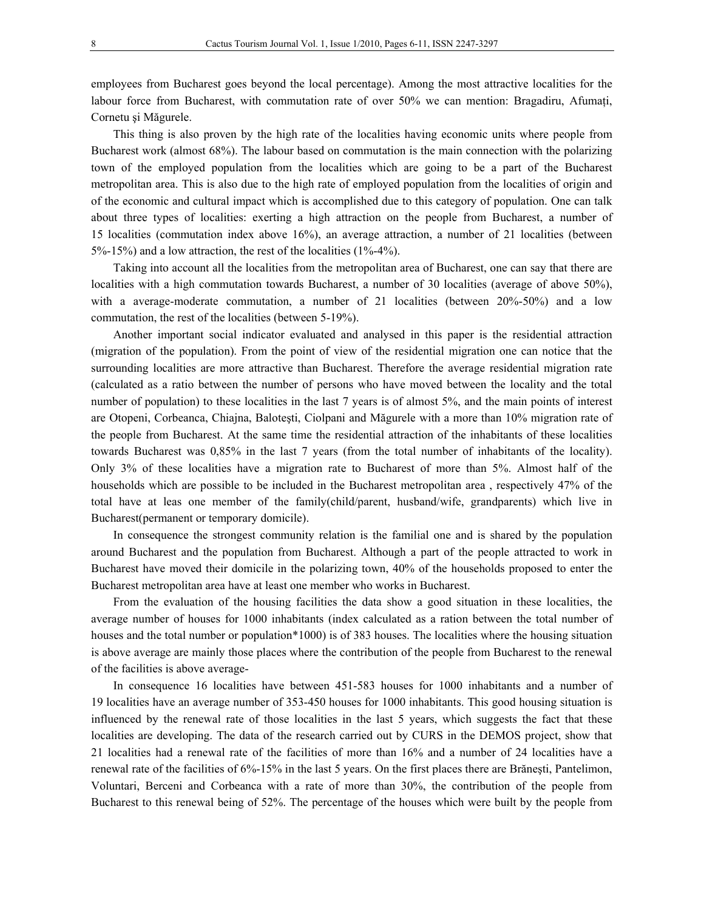employees from Bucharest goes beyond the local percentage). Among the most attractive localities for the labour force from Bucharest, with commutation rate of over 50% we can mention: Bragadiru, Afumați, Cornetu şi Măgurele.

This thing is also proven by the high rate of the localities having economic units where people from Bucharest work (almost 68%). The labour based on commutation is the main connection with the polarizing town of the employed population from the localities which are going to be a part of the Bucharest metropolitan area. This is also due to the high rate of employed population from the localities of origin and of the economic and cultural impact which is accomplished due to this category of population. One can talk about three types of localities: exerting a high attraction on the people from Bucharest, a number of 15 localities (commutation index above 16%), an average attraction, a number of 21 localities (between 5%-15%) and a low attraction, the rest of the localities (1%-4%).

Taking into account all the localities from the metropolitan area of Bucharest, one can say that there are localities with a high commutation towards Bucharest, a number of 30 localities (average of above 50%), with a average-moderate commutation, a number of 21 localities (between 20%-50%) and a low commutation, the rest of the localities (between 5-19%).

Another important social indicator evaluated and analysed in this paper is the residential attraction (migration of the population). From the point of view of the residential migration one can notice that the surrounding localities are more attractive than Bucharest. Therefore the average residential migration rate (calculated as a ratio between the number of persons who have moved between the locality and the total number of population) to these localities in the last 7 years is of almost 5%, and the main points of interest are Otopeni, Corbeanca, Chiajna, Baloteşti, Ciolpani and Măgurele with a more than 10% migration rate of the people from Bucharest. At the same time the residential attraction of the inhabitants of these localities towards Bucharest was 0,85% in the last 7 years (from the total number of inhabitants of the locality). Only 3% of these localities have a migration rate to Bucharest of more than 5%. Almost half of the households which are possible to be included in the Bucharest metropolitan area , respectively 47% of the total have at leas one member of the family(child/parent, husband/wife, grandparents) which live in Bucharest(permanent or temporary domicile).

In consequence the strongest community relation is the familial one and is shared by the population around Bucharest and the population from Bucharest. Although a part of the people attracted to work in Bucharest have moved their domicile in the polarizing town, 40% of the households proposed to enter the Bucharest metropolitan area have at least one member who works in Bucharest.

From the evaluation of the housing facilities the data show a good situation in these localities, the average number of houses for 1000 inhabitants (index calculated as a ration between the total number of houses and the total number or population\*1000) is of 383 houses. The localities where the housing situation is above average are mainly those places where the contribution of the people from Bucharest to the renewal of the facilities is above average-

In consequence 16 localities have between 451-583 houses for 1000 inhabitants and a number of 19 localities have an average number of 353-450 houses for 1000 inhabitants. This good housing situation is influenced by the renewal rate of those localities in the last 5 years, which suggests the fact that these localities are developing. The data of the research carried out by CURS in the DEMOS project, show that 21 localities had a renewal rate of the facilities of more than 16% and a number of 24 localities have a renewal rate of the facilities of 6%-15% in the last 5 years. On the first places there are Brăneşti, Pantelimon, Voluntari, Berceni and Corbeanca with a rate of more than 30%, the contribution of the people from Bucharest to this renewal being of 52%. The percentage of the houses which were built by the people from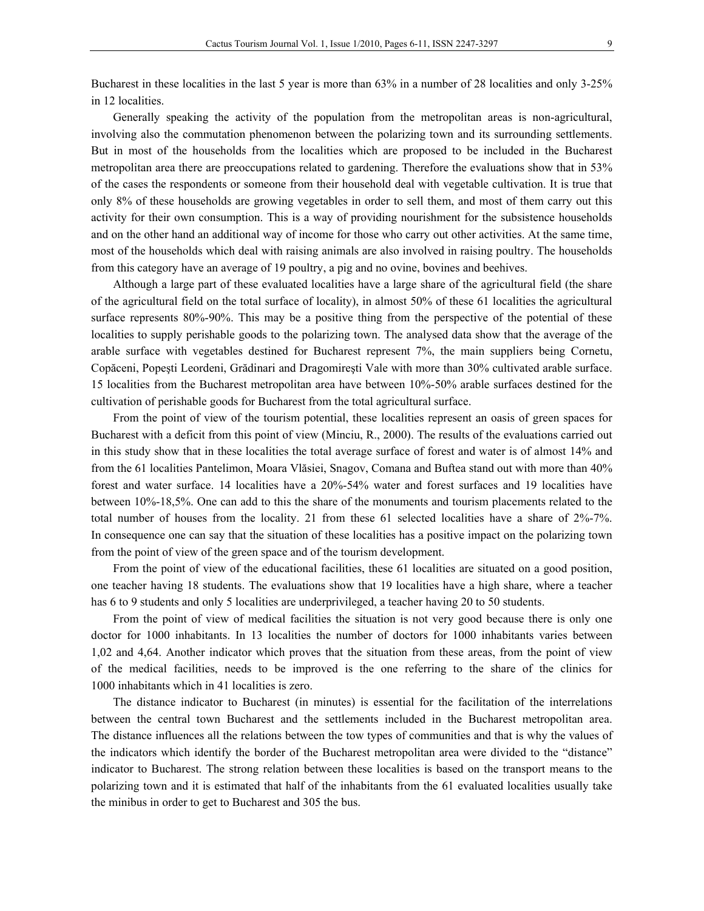Bucharest in these localities in the last 5 year is more than 63% in a number of 28 localities and only 3-25% in 12 localities.

Generally speaking the activity of the population from the metropolitan areas is non-agricultural, involving also the commutation phenomenon between the polarizing town and its surrounding settlements. But in most of the households from the localities which are proposed to be included in the Bucharest metropolitan area there are preoccupations related to gardening. Therefore the evaluations show that in 53% of the cases the respondents or someone from their household deal with vegetable cultivation. It is true that only 8% of these households are growing vegetables in order to sell them, and most of them carry out this activity for their own consumption. This is a way of providing nourishment for the subsistence households and on the other hand an additional way of income for those who carry out other activities. At the same time, most of the households which deal with raising animals are also involved in raising poultry. The households from this category have an average of 19 poultry, a pig and no ovine, bovines and beehives.

Although a large part of these evaluated localities have a large share of the agricultural field (the share of the agricultural field on the total surface of locality), in almost 50% of these 61 localities the agricultural surface represents 80%-90%. This may be a positive thing from the perspective of the potential of these localities to supply perishable goods to the polarizing town. The analysed data show that the average of the arable surface with vegetables destined for Bucharest represent 7%, the main suppliers being Cornetu, Copăceni, Popeşti Leordeni, Grădinari and Dragomireşti Vale with more than 30% cultivated arable surface. 15 localities from the Bucharest metropolitan area have between 10%-50% arable surfaces destined for the cultivation of perishable goods for Bucharest from the total agricultural surface.

From the point of view of the tourism potential, these localities represent an oasis of green spaces for Bucharest with a deficit from this point of view (Minciu, R., 2000). The results of the evaluations carried out in this study show that in these localities the total average surface of forest and water is of almost 14% and from the 61 localities Pantelimon, Moara Vlăsiei, Snagov, Comana and Buftea stand out with more than 40% forest and water surface. 14 localities have a 20%-54% water and forest surfaces and 19 localities have between 10%-18,5%. One can add to this the share of the monuments and tourism placements related to the total number of houses from the locality. 21 from these 61 selected localities have a share of 2%-7%. In consequence one can say that the situation of these localities has a positive impact on the polarizing town from the point of view of the green space and of the tourism development.

From the point of view of the educational facilities, these 61 localities are situated on a good position, one teacher having 18 students. The evaluations show that 19 localities have a high share, where a teacher has 6 to 9 students and only 5 localities are underprivileged, a teacher having 20 to 50 students.

From the point of view of medical facilities the situation is not very good because there is only one doctor for 1000 inhabitants. In 13 localities the number of doctors for 1000 inhabitants varies between 1,02 and 4,64. Another indicator which proves that the situation from these areas, from the point of view of the medical facilities, needs to be improved is the one referring to the share of the clinics for 1000 inhabitants which in 41 localities is zero.

The distance indicator to Bucharest (in minutes) is essential for the facilitation of the interrelations between the central town Bucharest and the settlements included in the Bucharest metropolitan area. The distance influences all the relations between the tow types of communities and that is why the values of the indicators which identify the border of the Bucharest metropolitan area were divided to the "distance" indicator to Bucharest. The strong relation between these localities is based on the transport means to the polarizing town and it is estimated that half of the inhabitants from the 61 evaluated localities usually take the minibus in order to get to Bucharest and 305 the bus.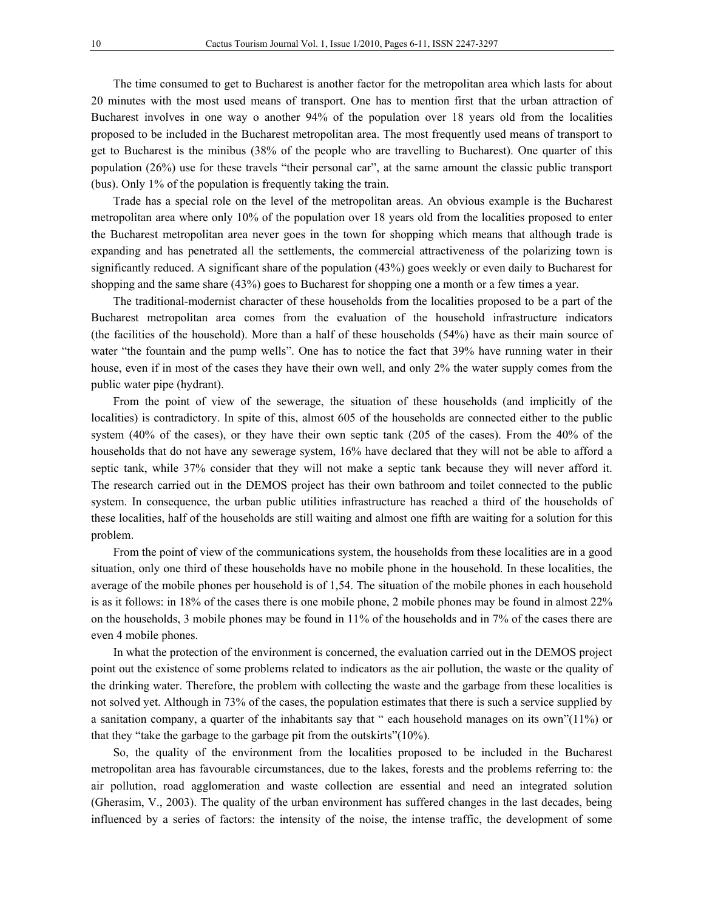The time consumed to get to Bucharest is another factor for the metropolitan area which lasts for about 20 minutes with the most used means of transport. One has to mention first that the urban attraction of Bucharest involves in one way o another 94% of the population over 18 years old from the localities proposed to be included in the Bucharest metropolitan area. The most frequently used means of transport to get to Bucharest is the minibus (38% of the people who are travelling to Bucharest). One quarter of this population (26%) use for these travels "their personal car", at the same amount the classic public transport (bus). Only 1% of the population is frequently taking the train.

Trade has a special role on the level of the metropolitan areas. An obvious example is the Bucharest metropolitan area where only 10% of the population over 18 years old from the localities proposed to enter the Bucharest metropolitan area never goes in the town for shopping which means that although trade is expanding and has penetrated all the settlements, the commercial attractiveness of the polarizing town is significantly reduced. A significant share of the population (43%) goes weekly or even daily to Bucharest for shopping and the same share (43%) goes to Bucharest for shopping one a month or a few times a year.

The traditional-modernist character of these households from the localities proposed to be a part of the Bucharest metropolitan area comes from the evaluation of the household infrastructure indicators (the facilities of the household). More than a half of these households (54%) have as their main source of water "the fountain and the pump wells". One has to notice the fact that 39% have running water in their house, even if in most of the cases they have their own well, and only 2% the water supply comes from the public water pipe (hydrant).

From the point of view of the sewerage, the situation of these households (and implicitly of the localities) is contradictory. In spite of this, almost 605 of the households are connected either to the public system (40% of the cases), or they have their own septic tank (205 of the cases). From the 40% of the households that do not have any sewerage system, 16% have declared that they will not be able to afford a septic tank, while 37% consider that they will not make a septic tank because they will never afford it. The research carried out in the DEMOS project has their own bathroom and toilet connected to the public system. In consequence, the urban public utilities infrastructure has reached a third of the households of these localities, half of the households are still waiting and almost one fifth are waiting for a solution for this problem.

From the point of view of the communications system, the households from these localities are in a good situation, only one third of these households have no mobile phone in the household. In these localities, the average of the mobile phones per household is of 1,54. The situation of the mobile phones in each household is as it follows: in 18% of the cases there is one mobile phone, 2 mobile phones may be found in almost 22% on the households, 3 mobile phones may be found in 11% of the households and in 7% of the cases there are even 4 mobile phones.

In what the protection of the environment is concerned, the evaluation carried out in the DEMOS project point out the existence of some problems related to indicators as the air pollution, the waste or the quality of the drinking water. Therefore, the problem with collecting the waste and the garbage from these localities is not solved yet. Although in 73% of the cases, the population estimates that there is such a service supplied by a sanitation company, a quarter of the inhabitants say that " each household manages on its own"(11%) or that they "take the garbage to the garbage pit from the outskirts"(10%).

So, the quality of the environment from the localities proposed to be included in the Bucharest metropolitan area has favourable circumstances, due to the lakes, forests and the problems referring to: the air pollution, road agglomeration and waste collection are essential and need an integrated solution (Gherasim, V., 2003). The quality of the urban environment has suffered changes in the last decades, being influenced by a series of factors: the intensity of the noise, the intense traffic, the development of some